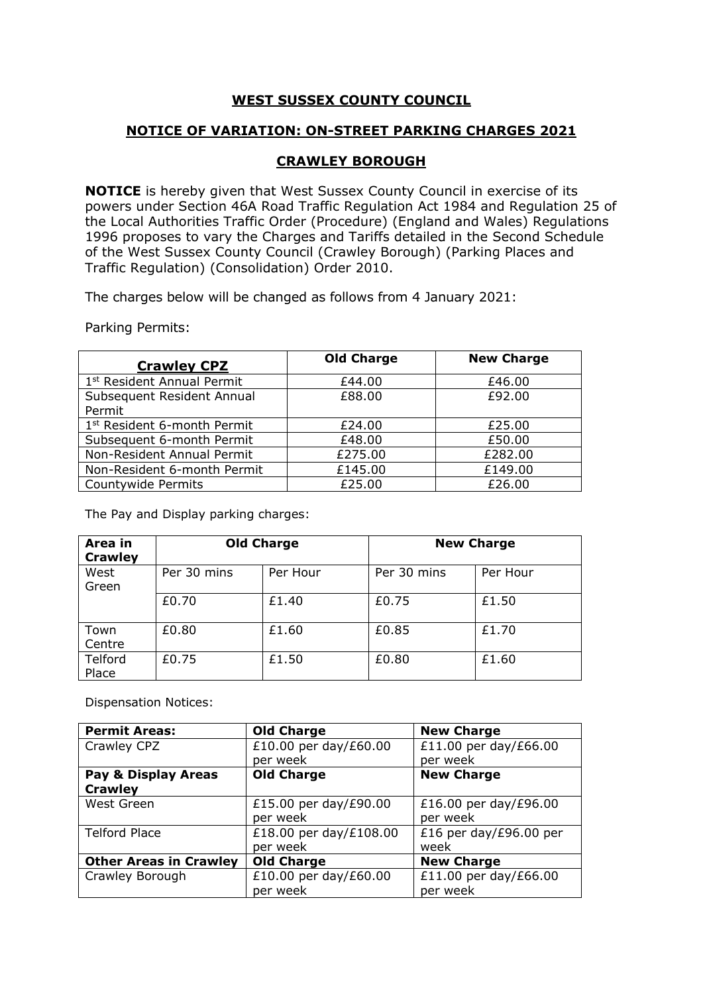## **WEST SUSSEX COUNTY COUNCIL**

## **NOTICE OF VARIATION: ON-STREET PARKING CHARGES 2021**

## **CRAWLEY BOROUGH**

**NOTICE** is hereby given that West Sussex County Council in exercise of its powers under Section 46A Road Traffic Regulation Act 1984 and Regulation 25 of the Local Authorities Traffic Order (Procedure) (England and Wales) Regulations 1996 proposes to vary the Charges and Tariffs detailed in the Second Schedule of the West Sussex County Council (Crawley Borough) (Parking Places and Traffic Regulation) (Consolidation) Order 2010.

The charges below will be changed as follows from 4 January 2021:

Parking Permits:

| <b>Crawley CPZ</b>                      | <b>Old Charge</b> | <b>New Charge</b> |
|-----------------------------------------|-------------------|-------------------|
| 1 <sup>st</sup> Resident Annual Permit  | £44.00            | £46.00            |
| Subsequent Resident Annual              | £88.00            | £92.00            |
| Permit                                  |                   |                   |
| 1 <sup>st</sup> Resident 6-month Permit | £24.00            | £25.00            |
| Subsequent 6-month Permit               | £48.00            | £50.00            |
| Non-Resident Annual Permit              | £275.00           | £282.00           |
| Non-Resident 6-month Permit             | £145.00           | £149.00           |
| Countywide Permits                      | £25.00            | £26.00            |

The Pay and Display parking charges:

| Area in<br><b>Crawley</b> | <b>Old Charge</b> |          |             | <b>New Charge</b> |
|---------------------------|-------------------|----------|-------------|-------------------|
| West<br>Green             | Per 30 mins       | Per Hour | Per 30 mins | Per Hour          |
|                           | £0.70             | £1.40    | £0.75       | £1.50             |
| Town<br>Centre            | £0.80             | £1.60    | £0.85       | £1.70             |
| Telford<br>Place          | £0.75             | £1.50    | £0.80       | £1.60             |

Dispensation Notices:

| <b>Permit Areas:</b>          | <b>Old Charge</b>      | <b>New Charge</b>      |
|-------------------------------|------------------------|------------------------|
| Crawley CPZ                   | £10.00 per day/£60.00  | £11.00 per day/£66.00  |
|                               | per week               | per week               |
| Pay & Display Areas           | <b>Old Charge</b>      | <b>New Charge</b>      |
| <b>Crawley</b>                |                        |                        |
| West Green                    | £15.00 per day/£90.00  | £16.00 per day/£96.00  |
|                               | per week               | per week               |
| <b>Telford Place</b>          | £18.00 per day/£108.00 | £16 per day/£96.00 per |
|                               | per week               | week                   |
| <b>Other Areas in Crawley</b> | <b>Old Charge</b>      | <b>New Charge</b>      |
| Crawley Borough               | £10.00 per day/£60.00  | £11.00 per day/£66.00  |
|                               | per week               | per week               |